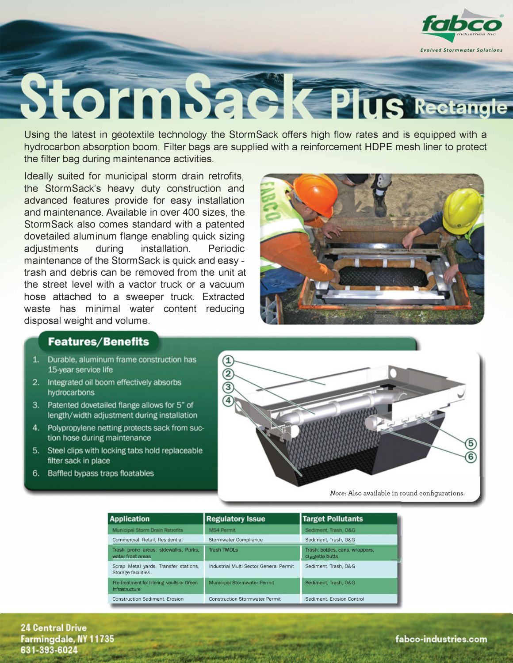

## StormSack Plus Rectangle

Using the latest in geotextile technology the StormSack offers high flow rates and is equipped with a hydrocarbon absorption boom. Filter bags are supplied with a reinforcement HDPE mesh liner to protect the filter bag during maintenance activities.

Ideally suited for municipal storm drain retrofits. the StormSack's heavy duty construction and advanced features provide for easy installation and maintenance. Available in over 400 sizes, the StormSack also comes standard with a patented dovetailed aluminum flange enabling quick sizing adjustments during installation. Periodic. maintenance of the StormSack is quick and easy trash and debris can be removed from the unit at the street level with a vactor truck or a vacuum hose attached to a sweeper truck. Extracted waste has minimal water content reducing disposal weight and volume.



## **Features/Benefits**

- 1. Durable, aluminum frame construction has 15-year service life
- 2. Integrated oil boom effectively absorbs hydrocarbons
- 3. Patented dovetailed flange allows for 5" of length/width adjustment during installation
- 4. Polypropylene netting protects sack from suction hose during maintenance
- 5. Steel clips with locking tabs hold replaceable filter sack in place
- 6. Baffled bypass traps floatables



Note: Also available in round configurations.

| <b>Application</b>                                            | <b>Regulatory Issue</b>                | <b>Target Pollutants</b>                           |
|---------------------------------------------------------------|----------------------------------------|----------------------------------------------------|
| Municipal Storm Drain Retrofits                               | MS4 Permit                             | Sediment, Trash, O&G                               |
| Commercial, Retail, Residential                               | <b>Stormwater Compliance</b>           | Sediment, Trash, O&G                               |
| Trash prone areas: sidewalks, Parks,<br>water front areas     | <b>Trash TMDLs</b>                     | Trash: bottles, cans, wrappers,<br>cigarette butts |
| Scrap Metal yards, Transfer stations,<br>Storage facilities   | Industrial Multi-Sector General Permit | Sediment, Trash, O&G                               |
| Pre-Treatment for filtering vaults or Green<br>Infrastructure | <b>Municipal Stormwater Permit</b>     | Sediment, Trash, O&G                               |
| <b>Construction Sediment, Erosion</b>                         | <b>Construction Stormwater Permit</b>  | Sediment, Erosion Control                          |

**24 Central Drive** Farmingdale, NY 11735 631-393-6024